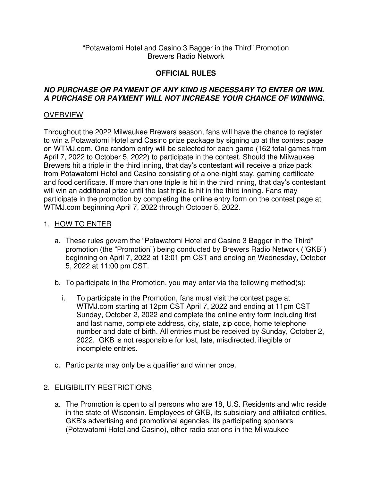#### "Potawatomi Hotel and Casino 3 Bagger in the Third" Promotion Brewers Radio Network

# **OFFICIAL RULES**

### **NO PURCHASE OR PAYMENT OF ANY KIND IS NECESSARY TO ENTER OR WIN. A PURCHASE OR PAYMENT WILL NOT INCREASE YOUR CHANCE OF WINNING.**

### **OVERVIEW**

Throughout the 2022 Milwaukee Brewers season, fans will have the chance to register to win a Potawatomi Hotel and Casino prize package by signing up at the contest page on WTMJ.com. One random entry will be selected for each game (162 total games from April 7, 2022 to October 5, 2022) to participate in the contest. Should the Milwaukee Brewers hit a triple in the third inning, that day's contestant will receive a prize pack from Potawatomi Hotel and Casino consisting of a one-night stay, gaming certificate and food certificate. If more than one triple is hit in the third inning, that day's contestant will win an additional prize until the last triple is hit in the third inning. Fans may participate in the promotion by completing the online entry form on the contest page at WTMJ.com beginning April 7, 2022 through October 5, 2022.

#### 1. HOW TO ENTER

- a. These rules govern the "Potawatomi Hotel and Casino 3 Bagger in the Third" promotion (the "Promotion") being conducted by Brewers Radio Network ("GKB") beginning on April 7, 2022 at 12:01 pm CST and ending on Wednesday, October 5, 2022 at 11:00 pm CST.
- b. To participate in the Promotion, you may enter via the following method(s):
	- i. To participate in the Promotion, fans must visit the contest page at WTMJ.com starting at 12pm CST April 7, 2022 and ending at 11pm CST Sunday, October 2, 2022 and complete the online entry form including first and last name, complete address, city, state, zip code, home telephone number and date of birth. All entries must be received by Sunday, October 2, 2022. GKB is not responsible for lost, late, misdirected, illegible or incomplete entries.
- c. Participants may only be a qualifier and winner once.

## 2. ELIGIBILITY RESTRICTIONS

a. The Promotion is open to all persons who are 18, U.S. Residents and who reside in the state of Wisconsin. Employees of GKB, its subsidiary and affiliated entities, GKB's advertising and promotional agencies, its participating sponsors (Potawatomi Hotel and Casino), other radio stations in the Milwaukee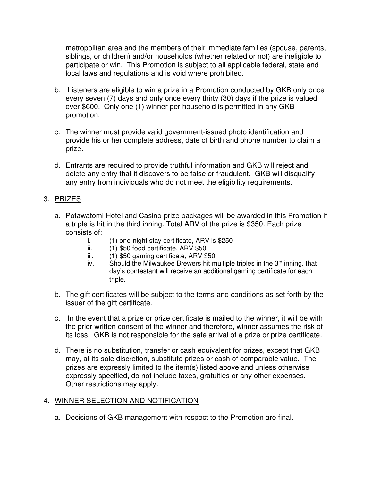metropolitan area and the members of their immediate families (spouse, parents, siblings, or children) and/or households (whether related or not) are ineligible to participate or win. This Promotion is subject to all applicable federal, state and local laws and regulations and is void where prohibited.

- b. Listeners are eligible to win a prize in a Promotion conducted by GKB only once every seven (7) days and only once every thirty (30) days if the prize is valued over \$600. Only one (1) winner per household is permitted in any GKB promotion.
- c. The winner must provide valid government-issued photo identification and provide his or her complete address, date of birth and phone number to claim a prize.
- d. Entrants are required to provide truthful information and GKB will reject and delete any entry that it discovers to be false or fraudulent. GKB will disqualify any entry from individuals who do not meet the eligibility requirements.

### 3. PRIZES

- a. Potawatomi Hotel and Casino prize packages will be awarded in this Promotion if a triple is hit in the third inning. Total ARV of the prize is \$350. Each prize consists of:
	- i. (1) one-night stay certificate, ARV is \$250
	- ii. (1) \$50 food certificate, ARV \$50
	- iii. (1) \$50 gaming certificate, ARV \$50
	- iv. Should the Milwaukee Brewers hit multiple triples in the  $3<sup>rd</sup>$  inning, that day's contestant will receive an additional gaming certificate for each triple.
- b. The gift certificates will be subject to the terms and conditions as set forth by the issuer of the gift certificate.
- c. In the event that a prize or prize certificate is mailed to the winner, it will be with the prior written consent of the winner and therefore, winner assumes the risk of its loss. GKB is not responsible for the safe arrival of a prize or prize certificate.
- d. There is no substitution, transfer or cash equivalent for prizes, except that GKB may, at its sole discretion, substitute prizes or cash of comparable value. The prizes are expressly limited to the item(s) listed above and unless otherwise expressly specified, do not include taxes, gratuities or any other expenses. Other restrictions may apply.

## 4. WINNER SELECTION AND NOTIFICATION

a. Decisions of GKB management with respect to the Promotion are final.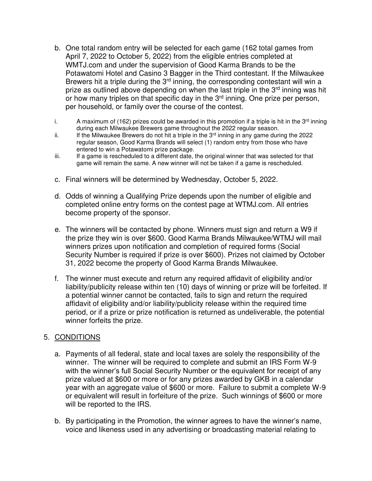- b. One total random entry will be selected for each game (162 total games from April 7, 2022 to October 5, 2022) from the eligible entries completed at WMTJ.com and under the supervision of Good Karma Brands to be the Potawatomi Hotel and Casino 3 Bagger in the Third contestant. If the Milwaukee Brewers hit a triple during the  $3<sup>rd</sup>$  inning, the corresponding contestant will win a prize as outlined above depending on when the last triple in the 3<sup>rd</sup> inning was hit or how many triples on that specific day in the 3<sup>rd</sup> inning. One prize per person, per household, or family over the course of the contest.
- i. A maximum of (162) prizes could be awarded in this promotion if a triple is hit in the  $3<sup>rd</sup>$  inning during each Milwaukee Brewers game throughout the 2022 regular season.
- ii. If the Milwaukee Brewers do not hit a triple in the  $3<sup>rd</sup>$  inning in any game during the 2022 regular season, Good Karma Brands will select (1) random entry from those who have entered to win a Potawatomi prize package.
- iii. If a game is rescheduled to a different date, the original winner that was selected for that game will remain the same. A new winner will not be taken if a game is rescheduled.
- c. Final winners will be determined by Wednesday, October 5, 2022.
- d. Odds of winning a Qualifying Prize depends upon the number of eligible and completed online entry forms on the contest page at WTMJ.com. All entries become property of the sponsor.
- e. The winners will be contacted by phone. Winners must sign and return a W9 if the prize they win is over \$600. Good Karma Brands Milwaukee/WTMJ will mail winners prizes upon notification and completion of required forms (Social Security Number is required if prize is over \$600). Prizes not claimed by October 31, 2022 become the property of Good Karma Brands Milwaukee.
- f. The winner must execute and return any required affidavit of eligibility and/or liability/publicity release within ten (10) days of winning or prize will be forfeited. If a potential winner cannot be contacted, fails to sign and return the required affidavit of eligibility and/or liability/publicity release within the required time period, or if a prize or prize notification is returned as undeliverable, the potential winner forfeits the prize.

#### 5. CONDITIONS

- a. Payments of all federal, state and local taxes are solely the responsibility of the winner. The winner will be required to complete and submit an IRS Form W-9 with the winner's full Social Security Number or the equivalent for receipt of any prize valued at \$600 or more or for any prizes awarded by GKB in a calendar year with an aggregate value of \$600 or more. Failure to submit a complete W-9 or equivalent will result in forfeiture of the prize. Such winnings of \$600 or more will be reported to the IRS.
- b. By participating in the Promotion, the winner agrees to have the winner's name, voice and likeness used in any advertising or broadcasting material relating to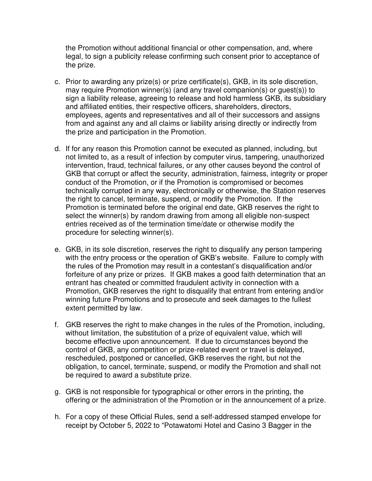the Promotion without additional financial or other compensation, and, where legal, to sign a publicity release confirming such consent prior to acceptance of the prize.

- c. Prior to awarding any prize(s) or prize certificate(s), GKB, in its sole discretion, may require Promotion winner(s) (and any travel companion(s) or guest(s)) to sign a liability release, agreeing to release and hold harmless GKB, its subsidiary and affiliated entities, their respective officers, shareholders, directors, employees, agents and representatives and all of their successors and assigns from and against any and all claims or liability arising directly or indirectly from the prize and participation in the Promotion.
- d. If for any reason this Promotion cannot be executed as planned, including, but not limited to, as a result of infection by computer virus, tampering, unauthorized intervention, fraud, technical failures, or any other causes beyond the control of GKB that corrupt or affect the security, administration, fairness, integrity or proper conduct of the Promotion, or if the Promotion is compromised or becomes technically corrupted in any way, electronically or otherwise, the Station reserves the right to cancel, terminate, suspend, or modify the Promotion. If the Promotion is terminated before the original end date, GKB reserves the right to select the winner(s) by random drawing from among all eligible non-suspect entries received as of the termination time/date or otherwise modify the procedure for selecting winner(s).
- e. GKB, in its sole discretion, reserves the right to disqualify any person tampering with the entry process or the operation of GKB's website. Failure to comply with the rules of the Promotion may result in a contestant's disqualification and/or forfeiture of any prize or prizes. If GKB makes a good faith determination that an entrant has cheated or committed fraudulent activity in connection with a Promotion, GKB reserves the right to disqualify that entrant from entering and/or winning future Promotions and to prosecute and seek damages to the fullest extent permitted by law.
- f. GKB reserves the right to make changes in the rules of the Promotion, including, without limitation, the substitution of a prize of equivalent value, which will become effective upon announcement. If due to circumstances beyond the control of GKB, any competition or prize-related event or travel is delayed, rescheduled, postponed or cancelled, GKB reserves the right, but not the obligation, to cancel, terminate, suspend, or modify the Promotion and shall not be required to award a substitute prize.
- g. GKB is not responsible for typographical or other errors in the printing, the offering or the administration of the Promotion or in the announcement of a prize.
- h. For a copy of these Official Rules, send a self-addressed stamped envelope for receipt by October 5, 2022 to "Potawatomi Hotel and Casino 3 Bagger in the